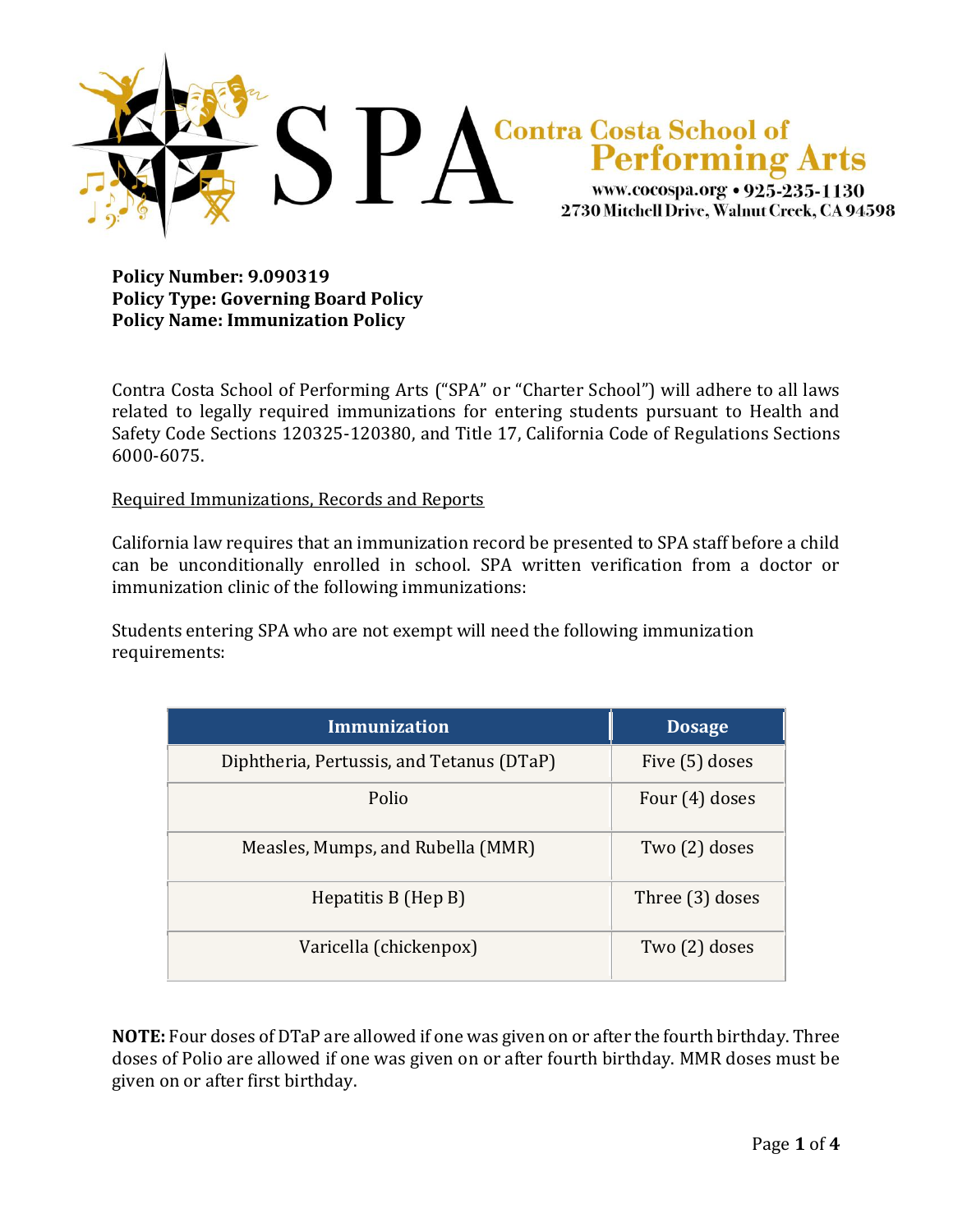

**Policy Number: 9.090319 Policy Type: Governing Board Policy Policy Name: Immunization Policy**

Contra Costa School of Performing Arts ("SPA" or "Charter School") will adhere to all laws related to legally required immunizations for entering students pursuant to Health and Safety Code Sections 120325-120380, and Title 17, California Code of Regulations Sections 6000-6075.

Required Immunizations, Records and Reports

California law requires that an immunization record be presented to SPA staff before a child can be unconditionally enrolled in school. SPA written verification from a doctor or immunization clinic of the following immunizations:

Students entering SPA who are not exempt will need the following immunization requirements:

| Immunization                              | <b>Dosage</b>   |
|-------------------------------------------|-----------------|
| Diphtheria, Pertussis, and Tetanus (DTaP) | Five (5) doses  |
| Polio                                     | Four (4) doses  |
| Measles, Mumps, and Rubella (MMR)         | Two (2) doses   |
| Hepatitis $B$ (Hep $B$ )                  | Three (3) doses |
| Varicella (chickenpox)                    | Two (2) doses   |

**NOTE:** Four doses of DTaP are allowed if one was given on or after the fourth birthday. Three doses of Polio are allowed if one was given on or after fourth birthday. MMR doses must be given on or after first birthday.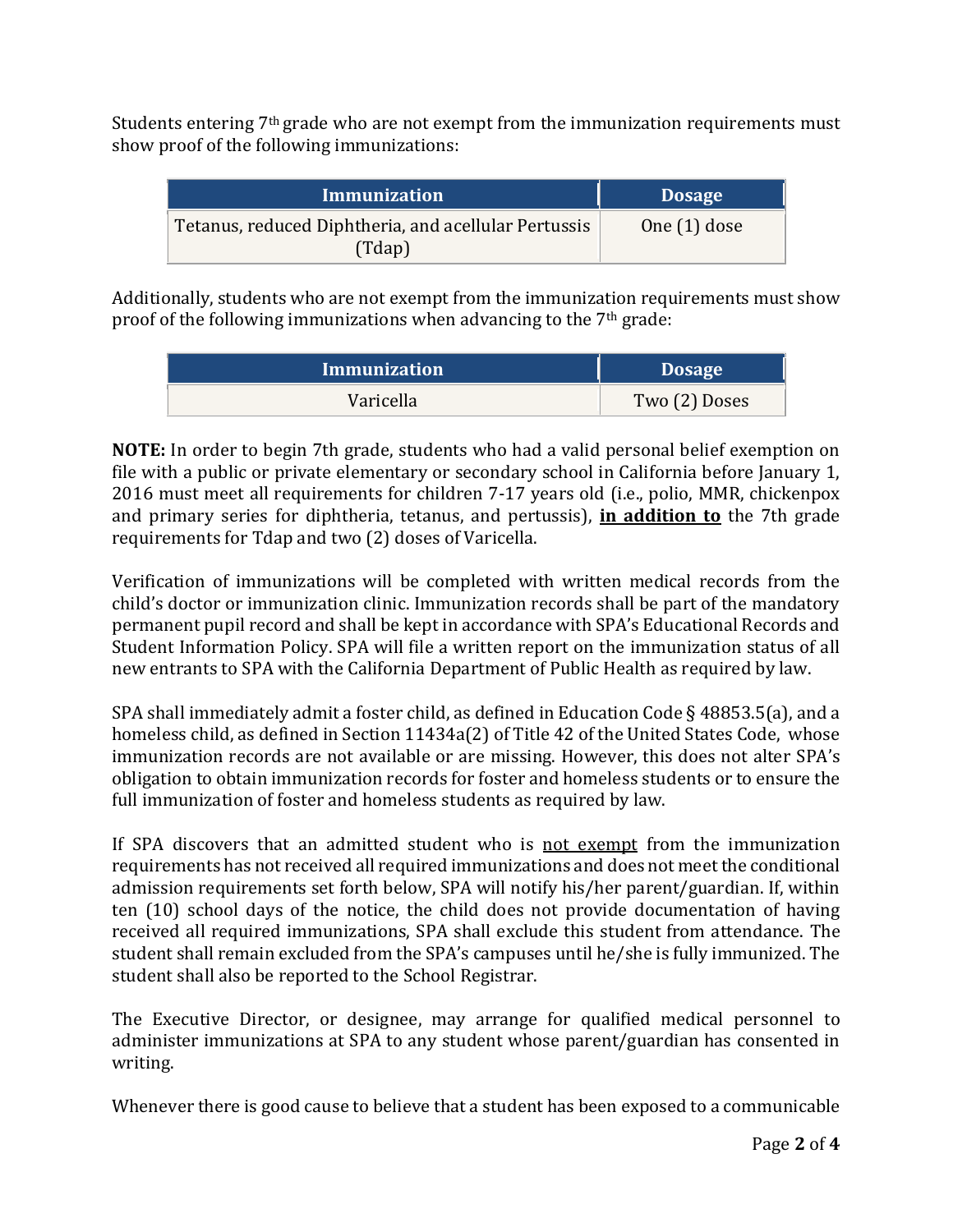Students entering 7<sup>th</sup> grade who are not exempt from the immunization requirements must show proof of the following immunizations:

| Immunization                                                   | <b>Dosage</b> |
|----------------------------------------------------------------|---------------|
| Tetanus, reduced Diphtheria, and acellular Pertussis<br>(Tdap) | One (1) dose  |

Additionally, students who are not exempt from the immunization requirements must show proof of the following immunizations when advancing to the 7th grade:

| Immunization | <b>Dosage</b> |
|--------------|---------------|
| Varicella    | Two (2) Doses |

**NOTE:** In order to begin 7th grade, students who had a valid personal belief exemption on file with a public or private elementary or secondary school in California before January 1, 2016 must meet all requirements for children 7-17 years old (i.e., polio, MMR, chickenpox and primary series for diphtheria, tetanus, and pertussis), **in addition to** the 7th grade requirements for Tdap and two (2) doses of Varicella.

Verification of immunizations will be completed with written medical records from the child's doctor or immunization clinic. Immunization records shall be part of the mandatory permanent pupil record and shall be kept in accordance with SPA's Educational Records and Student Information Policy. SPA will file a written report on the immunization status of all new entrants to SPA with the California Department of Public Health as required by law.

SPA shall immediately admit a foster child, as defined in Education Code § 48853.5(a), and a homeless child, as defined in Section 11434a(2) of Title 42 of the United States Code, whose immunization records are not available or are missing. However, this does not alter SPA's obligation to obtain immunization records for foster and homeless students or to ensure the full immunization of foster and homeless students as required by law.

If SPA discovers that an admitted student who is not exempt from the immunization requirements has not received all required immunizations and does not meet the conditional admission requirements set forth below, SPA will notify his/her parent/guardian. If, within ten (10) school days of the notice, the child does not provide documentation of having received all required immunizations, SPA shall exclude this student from attendance. The student shall remain excluded from the SPA's campuses until he/she is fully immunized. The student shall also be reported to the School Registrar.

The Executive Director, or designee, may arrange for qualified medical personnel to administer immunizations at SPA to any student whose parent/guardian has consented in writing.

Whenever there is good cause to believe that a student has been exposed to a communicable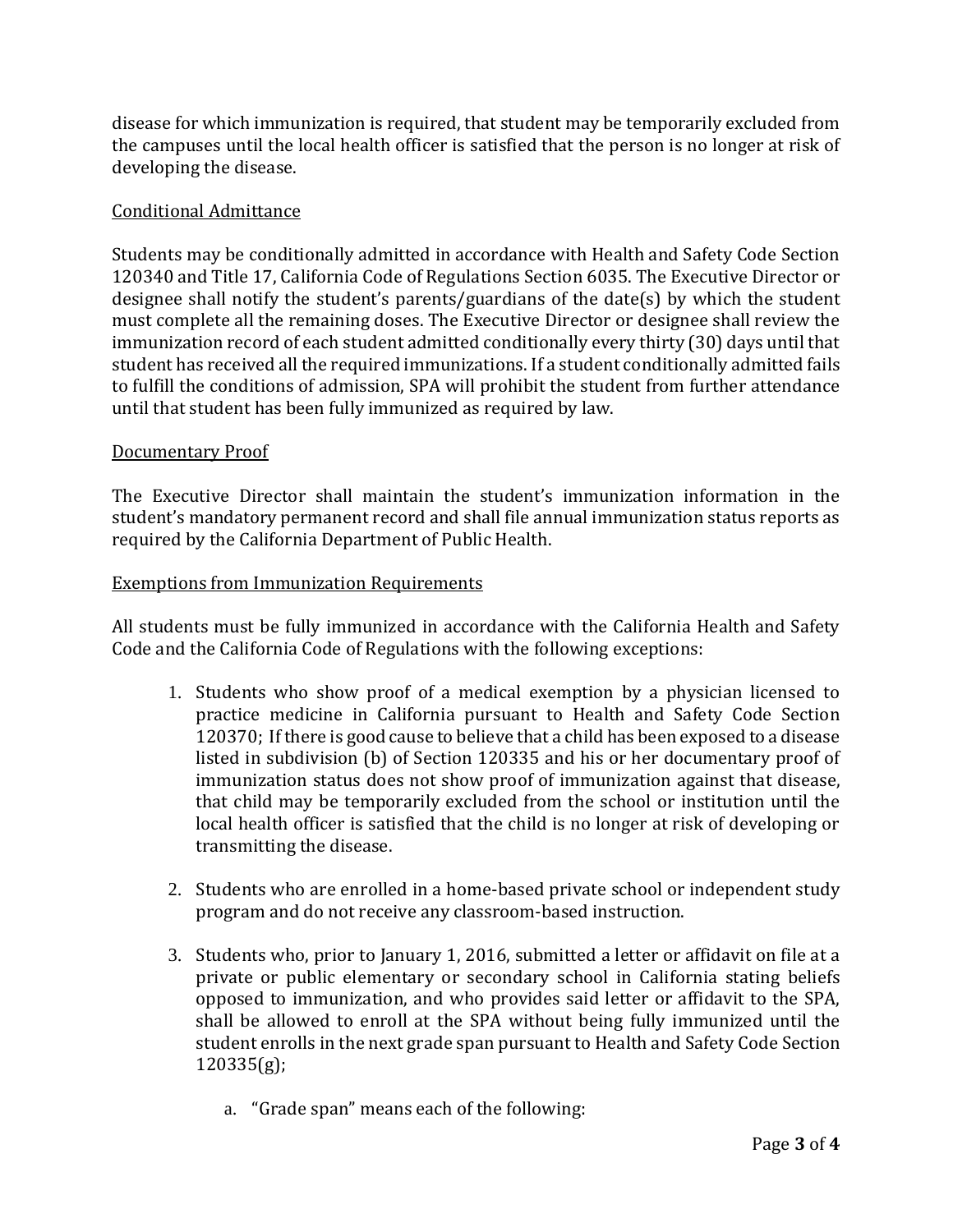disease for which immunization is required, that student may be temporarily excluded from the campuses until the local health officer is satisfied that the person is no longer at risk of developing the disease.

## Conditional Admittance

Students may be conditionally admitted in accordance with Health and Safety Code Section 120340 and Title 17, California Code of Regulations Section 6035. The Executive Director or designee shall notify the student's parents/guardians of the date(s) by which the student must complete all the remaining doses. The Executive Director or designee shall review the immunization record of each student admitted conditionally every thirty (30) days until that student has received all the required immunizations. If a student conditionally admitted fails to fulfill the conditions of admission, SPA will prohibit the student from further attendance until that student has been fully immunized as required by law.

## Documentary Proof

The Executive Director shall maintain the student's immunization information in the student's mandatory permanent record and shall file annual immunization status reports as required by the California Department of Public Health.

## Exemptions from Immunization Requirements

All students must be fully immunized in accordance with the California Health and Safety Code and the California Code of Regulations with the following exceptions:

- 1. Students who show proof of a medical exemption by a physician licensed to practice medicine in California pursuant to Health and Safety Code Section 120370; If there is good cause to believe that a child has been exposed to a disease listed in subdivision (b) of Section 120335 and his or her documentary proof of immunization status does not show proof of immunization against that disease, that child may be temporarily excluded from the school or institution until the local health officer is satisfied that the child is no longer at risk of developing or transmitting the disease.
- 2. Students who are enrolled in a home-based private school or independent study program and do not receive any classroom-based instruction.
- 3. Students who, prior to January 1, 2016, submitted a letter or affidavit on file at a private or public elementary or secondary school in California stating beliefs opposed to immunization, and who provides said letter or affidavit to the SPA, shall be allowed to enroll at the SPA without being fully immunized until the student enrolls in the next grade span pursuant to Health and Safety Code Section 120335(g);
	- a. "Grade span" means each of the following: